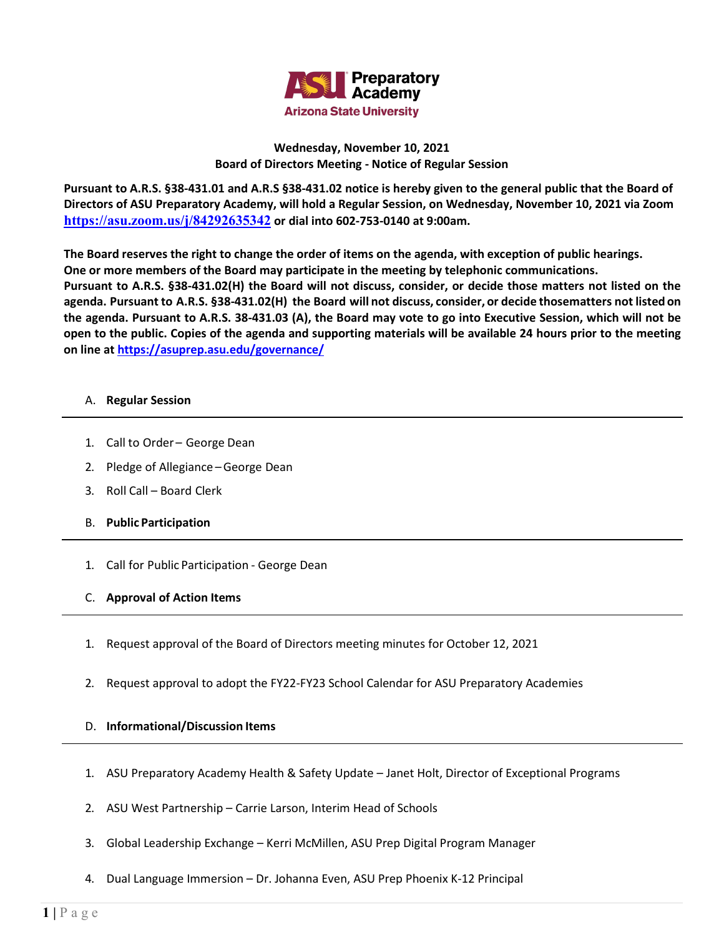

## **Wednesday, November 10, 2021 Board of Directors Meeting - Notice of Regular Session**

**Pursuant to A.R.S. §38-431.01 and A.R.S §38-431.02 notice is hereby given to the general public that the Board of Directors of ASU Preparatory Academy, will hold a Regular Session, on Wednesday, November 10, 2021 via Zoom <https://asu.zoom.us/j/84292635342> or dial into 602-753-0140 at 9:00am.**

**The Board reserves the right to change the order of items on the agenda, with exception of public hearings. One or more members of the Board may participate in the meeting by telephonic communications. Pursuant to A.R.S. §38-431.02(H) the Board will not discuss, consider, or decide those matters not listed on the**  agenda. Pursuant to A.R.S. §38-431.02(H) the Board will not discuss, consider, or decide thosematters not listed on **the agenda. Pursuant to A.R.S. 38-431.03 (A), the Board may vote to go into Executive Session, which will not be open to the public. Copies of the agenda and supporting materials will be available 24 hours prior to the meeting on line at<https://asuprep.asu.edu/governance/>**

## A. **Regular Session**

- 1. Call to Order George Dean
- 2. Pledge of Allegiance –George Dean
- 3. Roll Call Board Clerk
- B. **Public Participation**
- 1. Call for Public Participation George Dean
- C. **Approval of Action Items**
- 1. Request approval of the Board of Directors meeting minutes for October 12, 2021
- 2. Request approval to adopt the FY22-FY23 School Calendar for ASU Preparatory Academies

## D. **Informational/Discussion Items**

- 1. ASU Preparatory Academy Health & Safety Update Janet Holt, Director of Exceptional Programs
- 2. ASU West Partnership Carrie Larson, Interim Head of Schools
- 3. Global Leadership Exchange Kerri McMillen, ASU Prep Digital Program Manager
- 4. Dual Language Immersion Dr. Johanna Even, ASU Prep Phoenix K-12 Principal